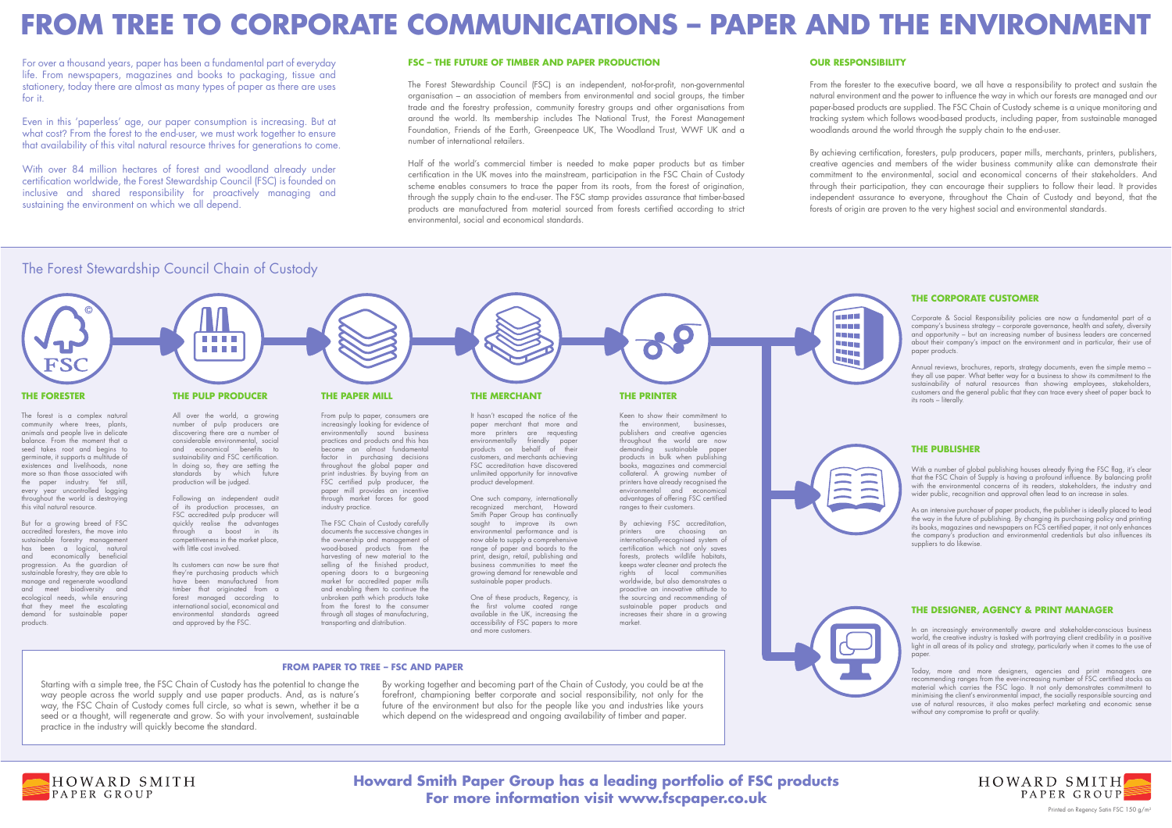# **Howard Smith Paper Group has a leading portfolio of FSC products For more information visit www.fscpaper.co.uk**



# **FROM TREE TO CORPORATE COMMUNICATIONS – PAPER AND THE ENVIRONMENT**

For over a thousand years, paper has been a fundamental part of everyday life. From newspapers, magazines and books to packaging, tissue and stationery, today there are almost as many types of paper as there are uses for it.

Even in this 'paperless' age, our paper consumption is increasing. But at what cost ? From the forest to the end-user, we must work together to ensure that availability of this vital natural resource thrives for generations to come.

With over 84 million hectares of forest and woodland already under certification worldwide, the Forest Stewardship Council (FSC) is founded on inclusive and shared responsibility for proactively managing and sustaining the environment on which we all depend.

## **FSC – THE FUTURE OF TIMBER AND PAPER PRODUCTION**

The Forest Stewardship Council (FSC) is an independent, not-for-profit, non-governmental organisation – an association of members from environmental and social groups, the timber trade and the forestry profession, community forestry groups and other organisations from around the world. Its membership includes The National Trust, the Forest Management Foundation, Friends of the Earth, Greenpeace UK, The Woodland Trust, WWF UK and a number of international retailers.

> Corporate & Social Responsibility policies are now a fundamental part of a company's business strategy – corporate governance, health and safety, diversity and opportunity – but an increasing number of business leaders are concerned about their company's impact on the environment and in particular, their use of paper products.

Half of the world's commercial timber is needed to make paper products but as timber certification in the UK moves into the mainstream, participation in the FSC Chain of Custody scheme enables consumers to trace the paper from its roots, from the forest of origination, through the supply chain to the end-user. The FSC stamp provides assurance that timber-based products are manufactured from material sourced from forests certified according to strict environmental, social and economical standards.

## **THE DESIGNER, AGENCY & PRINT MANAGER**

In an increasingly environmentally aware and stakeholder-conscious business world, the creative industry is tasked with portraying client credibility in a positive light in all areas of its policy and strategy, particularly when it comes to the use of paper.

Today, more and more designers, agencies and print managers are recommending ranges from the ever-increasing number of FSC certified stocks as material which carries the FSC logo. It not only demonstrates commitment to minimising the client's environmental impact, the socially responsible sourcing and use of natural resources, it also makes perfect marketing and economic sense without any compromise to profit or quality.



Printed on Regency Satin FSC 150 g/m<sup>2</sup>

## **THE CORPORATE CUSTOMER**

Annual reviews, brochures, reports, strategy documents, even the simple memo – they all use paper. What better way for a business to show its commitment to the sustainability of natural resources than showing employees, stakeholders, customers and the general public that they can trace every sheet of paper back to its roots – literally.

## **THE PUBLISHER**

With a number of global publishing houses already flying the FSC flag, it's clear that the FSC Chain of Supply is having a profound influence. By balancing profit with the environmental concerns of its readers, stakeholders, the industry and wider public, recognition and approval often lead to an increase in sales.

As an intensive purchaser of paper products, the publisher is ideally placed to lead the way in the future of publishing. By changing its purchasing policy and printing its books, magazines and newspapers on FCS certified paper, it not only enhances the company's production and environmental credentials but also influences its suppliers to do likewise.

## The Forest Stewardship Council Chain of Custody

## **OUR RESPONSIBILITY**

From the forester to the executive board, we all have a responsibility to protect and sustain the natural environment and the power to influence the way in which our forests are managed and our paper-based products are supplied. The FSC Chain of Custody scheme is a unique monitoring and tracking system which follows wood-based products, including paper, from sustainable managed woodlands around the world through the supply chain to the end-user.

By achieving certification, foresters, pulp producers, paper mills, merchants, printers, publishers, creative agencies and members of the wider business community alike can demonstrate their commitment to the environmental, social and economical concerns of their stakeholders. And through their participation, they can encourage their suppliers to follow their lead. It provides independent assurance to everyone, throughout the Chain of Custody and beyond, that the forests of origin are proven to the very highest social and environmental standards.

## **THE PAPER MILL**

From pulp to paper, consumers are increasingly looking for evidence of environmentally sound business practices and products and this has become an almost fundamental factor in purchasing decisions throughout the global paper and print industries. By buying from an FSC certified pulp producer, the paper mill provides an incentive through market forces for good industry practice.

The FSC Chain of Custody carefully documents the successive changes in the ownership and management of wood-based products from the harvesting of new material to the selling of the finished product, opening doors to a burgeoning market for accredited paper mills and enabling them to continue the unbroken path which products take from the forest to the consumer through all stages of manufacturing, transporting and distribution.

## **THE PULP PRODUCER**

All over the world, a growing number of pulp producers are discovering there are a number of considerable environmental, social and economical benefits to sustainability and FSC certification. In doing so, they are setting the standards by which future production will be judged.



Following an independent audit of its production processes, an FSC accredited pulp producer will quickly realise the advantages through a boost in its competitiveness in the market place, with little cost involved.

Its customers can now be sure that they're purchasing products which have been manufactured from timber that originated from a forest managed according to international social, economical and environmental standards agreed and approved by the FSC.

## **THE FORESTER**

The forest is a complex natural community where trees, plants, animals and people live in delicate balance. From the moment that a seed takes root and begins to germinate, it supports a multitude of existences and livelihoods, none more so than those associated with the paper industry. Yet still, every year uncontrolled logging throughout the world is destroying this vital natural resource.

But for a growing breed of FSC accredited foresters, the move into sustainable forestry management has been a logical, natural and economically beneficial progression. As the guardian of sustainable forestry, they are able to manage and regenerate woodland and meet biodiversity and ecological needs, while ensuring that they meet the escalating demand for sustainable paper products.



Starting with a simple tree, the FSC Chain of Custody has the potential to change the way people across the world supply and use paper products. And, as is nature's way, the FSC Chain of Custody comes full circle, so what is sewn, whether it be a seed or a thought, will regenerate and grow. So with your involvement, sustainable practice in the industry will quickly become the standard.



HOWARD SMITH PAPER GROUP

## **FROM PAPER TO TREE – FSC AND PAPER**